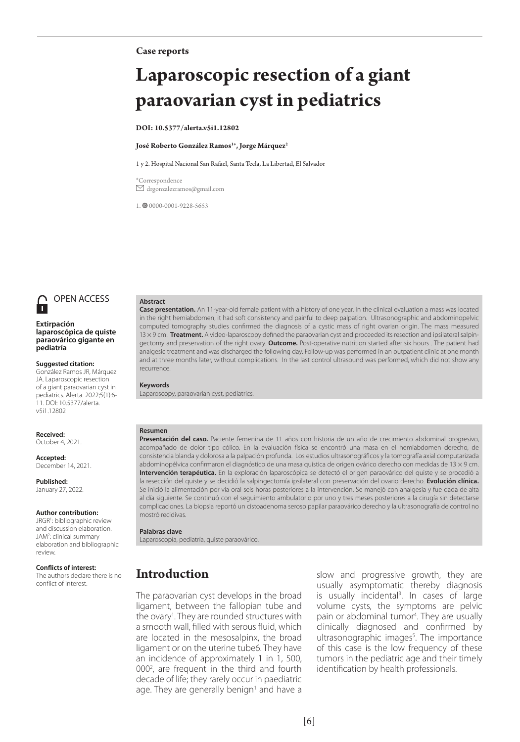#### **Case reports**

# **Laparoscopic resection of a giant paraovarian cyst in pediatrics**

#### **DOI: 10.5377/alerta.v5i1.12802**

#### **José Roberto González Ramos1** \***, Jorge Márquez2**

#### 1 y 2. Hospital Nacional San Rafael, Santa Tecla, La Libertad, El Salvador

\*Correspondence  $\boxtimes$  drgonzalezramos@gmail.com

1. 0000-0001-9228-5653



# OPEN ACCESS

#### **Extirpación laparoscópica de quiste paraovárico gigante en pediatría**

**Suggested citation:** González Ramos JR, Márquez

JA. Laparoscopic resection of a giant paraovarian cyst in pediatrics. Alerta. 2022;5(1):6- 11. DOI: 10.5377/alerta. v5i1.12802

**Received:** October 4, 2021.

**Accepted:** December 14, 2021.

**Published:** January 27, 2022.

#### **Author contribution:**

JRGR1 : bibliographic review and discussion elaboration. JAM<sup>2</sup>: clinical summary elaboration and bibliographic review.

#### **Conflicts of interest:**

The authors declare there is no conflict of interest.

#### **Abstract**

**Case presentation.** An 11-year-old female patient with a history of one year. In the clinical evaluation a mass was located in the right hemiabdomen, it had soft consistency and painful to deep palpation. Ultrasonographic and abdominopelvic computed tomography studies confirmed the diagnosis of a cystic mass of right ovarian origin. The mass measured 13 × 9 cm. **Treatment.** A video-laparoscopy defined the paraovarian cyst and proceeded its resection and ipsilateral salpingectomy and preservation of the right ovary. **Outcome.** Post-operative nutrition started after six hours . The patient had analgesic treatment and was discharged the following day. Follow-up was performed in an outpatient clinic at one month and at three months later, without complications. In the last control ultrasound was performed, which did not show any recurrence.

#### **Keywords**

Laparoscopy, paraovarian cyst, pediatrics.

### **Resumen**

**Presentación del caso.** Paciente femenina de 11 años con historia de un año de crecimiento abdominal progresivo, acompañado de dolor tipo cólico. En la evaluación física se encontró una masa en el hemiabdomen derecho, de consistencia blanda y dolorosa a la palpación profunda. Los estudios ultrasonográficos y la tomografía axial computarizada abdominopélvica confirmaron el diagnóstico de una masa quística de origen ovárico derecho con medidas de 13 × 9 cm. **Intervención terapéutica.** En la exploración laparoscópica se detectó el origen paraovárico del quiste y se procedió a la resección del quiste y se decidió la salpingectomía ipsilateral con preservación del ovario derecho. **Evolución clínica.** Se inició la alimentación por vía oral seis horas posteriores a la intervención. Se manejó con analgesia y fue dada de alta al día siguiente. Se continuó con el seguimiento ambulatorio por uno y tres meses posteriores a la cirugía sin detectarse complicaciones. La biopsia reportó un cistoadenoma seroso papilar paraovárico derecho y la ultrasonografía de control no mostró recidivas.

#### **Palabras clave**

Laparoscopía, pediatría, quiste paraovárico.

### **Introduction**

The paraovarian cyst develops in the broad ligament, between the fallopian tube and the ovary<sup>1</sup>. They are rounded structures with a smooth wall, filled with serous fluid, which are located in the mesosalpinx, the broad ligament or on the uterine tube6. They have an incidence of approximately 1 in 1, 500, 000<sup>2</sup>, are frequent in the third and fourth decade of life; they rarely occur in paediatric age. They are generally benign<sup>1</sup> and have a slow and progressive growth, they are usually asymptomatic thereby diagnosis is usually incidental<sup>3</sup>. In cases of large volume cysts, the symptoms are pelvic pain or abdominal tumor<sup>4</sup>. They are usually clinically diagnosed and confirmed by ultrasonographic images<sup>5</sup>. The importance of this case is the low frequency of these tumors in the pediatric age and their timely identification by health professionals.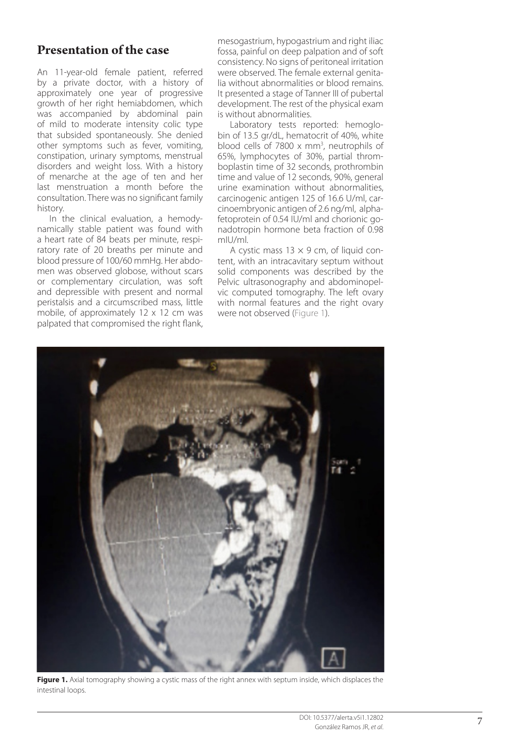### **Presentation of the case**

An 11-year-old female patient, referred by a private doctor, with a history of approximately one year of progressive growth of her right hemiabdomen, which was accompanied by abdominal pain of mild to moderate intensity colic type that subsided spontaneously. She denied other symptoms such as fever, vomiting, constipation, urinary symptoms, menstrual disorders and weight loss. With a history of menarche at the age of ten and her last menstruation a month before the consultation. There was no significant family history.

In the clinical evaluation, a hemodynamically stable patient was found with a heart rate of 84 beats per minute, respiratory rate of 20 breaths per minute and blood pressure of 100/60 mmHg. Her abdomen was observed globose, without scars or complementary circulation, was soft and depressible with present and normal peristalsis and a circumscribed mass, little mobile, of approximately 12 x 12 cm was palpated that compromised the right flank,

mesogastrium, hypogastrium and right iliac fossa, painful on deep palpation and of soft consistency. No signs of peritoneal irritation were observed. The female external genitalia without abnormalities or blood remains. It presented a stage of Tanner III of pubertal development. The rest of the physical exam is without abnormalities.

Laboratory tests reported: hemoglobin of 13.5 gr/dL, hematocrit of 40%, white blood cells of  $7800 \times \text{mm}^3$ , neutrophils of 65%, lymphocytes of 30%, partial thromboplastin time of 32 seconds, prothrombin time and value of 12 seconds, 90%, general urine examination without abnormalities, carcinogenic antigen 125 of 16.6 U/ml, carcinoembryonic antigen of 2.6 ng/ml, alphafetoprotein of 0.54 IU/ml and chorionic gonadotropin hormone beta fraction of 0.98 mIU/ml.

A cystic mass  $13 \times 9$  cm, of liquid content, with an intracavitary septum without solid components was described by the Pelvic ultrasonography and abdominopelvic computed tomography. The left ovary with normal features and the right ovary were not observed (Figure 1).



**Figure 1.** Axial tomography showing a cystic mass of the right annex with septum inside, which displaces the intestinal loops.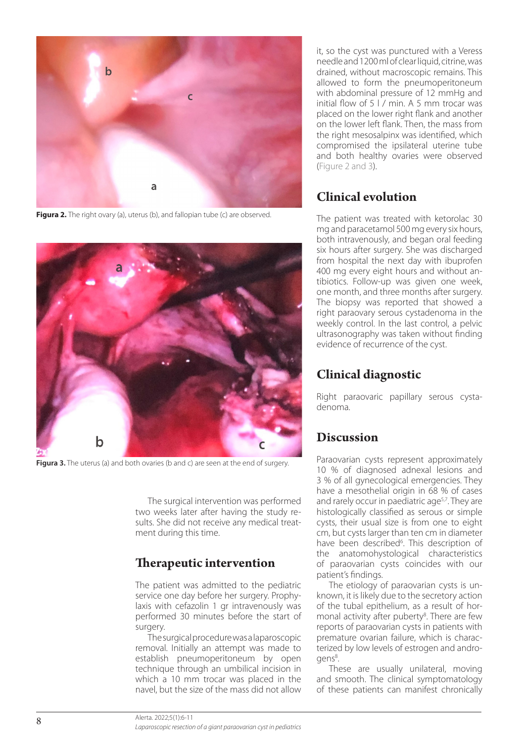

**Figura 2.** The right ovary (a), uterus (b), and fallopian tube (c) are observed.



Figura 3. The uterus (a) and both ovaries (b and c) are seen at the end of surgery.

The surgical intervention was performed two weeks later after having the study results. She did not receive any medical treatment during this time.

### **Therapeutic intervention**

The patient was admitted to the pediatric service one day before her surgery. Prophylaxis with cefazolin 1 gr intravenously was performed 30 minutes before the start of surgery.

The surgical procedure was a laparoscopic removal. Initially an attempt was made to establish pneumoperitoneum by open technique through an umbilical incision in which a 10 mm trocar was placed in the navel, but the size of the mass did not allow

it, so the cyst was punctured with a Veress needle and 1200 ml of clear liquid, citrine, was drained, without macroscopic remains. This allowed to form the pneumoperitoneum with abdominal pressure of 12 mmHg and initial flow of 5 l / min. A 5 mm trocar was placed on the lower right flank and another on the lower left flank. Then, the mass from the right mesosalpinx was identified, which compromised the ipsilateral uterine tube and both healthy ovaries were observed (Figure 2 and 3).

### **Clinical evolution**

The patient was treated with ketorolac 30 mg and paracetamol 500 mg every six hours, both intravenously, and began oral feeding six hours after surgery. She was discharged from hospital the next day with ibuprofen 400 mg every eight hours and without antibiotics. Follow-up was given one week, one month, and three months after surgery. The biopsy was reported that showed a right paraovary serous cystadenoma in the weekly control. In the last control, a pelvic ultrasonography was taken without finding evidence of recurrence of the cyst.

### **Clinical diagnostic**

Right paraovaric papillary serous cystadenoma.

### **Discussion**

Paraovarian cysts represent approximately 10 % of diagnosed adnexal lesions and 3 % of all gynecological emergencies. They have a mesothelial origin in 68 % of cases and rarely occur in paediatric age<sup>5,7</sup>. They are histologically classified as serous or simple cysts, their usual size is from one to eight cm, but cysts larger than ten cm in diameter have been described<sup>6</sup>. This description of the anatomohystological characteristics of paraovarian cysts coincides with our patient's findings.

The etiology of paraovarian cysts is unknown, it is likely due to the secretory action of the tubal epithelium, as a result of hormonal activity after puberty<sup>8</sup>. There are few reports of paraovarian cysts in patients with premature ovarian failure, which is characterized by low levels of estrogen and androgens<sup>8</sup>. .

These are usually unilateral, moving and smooth. The clinical symptomatology of these patients can manifest chronically

Alerta. 2022;5(1):6-11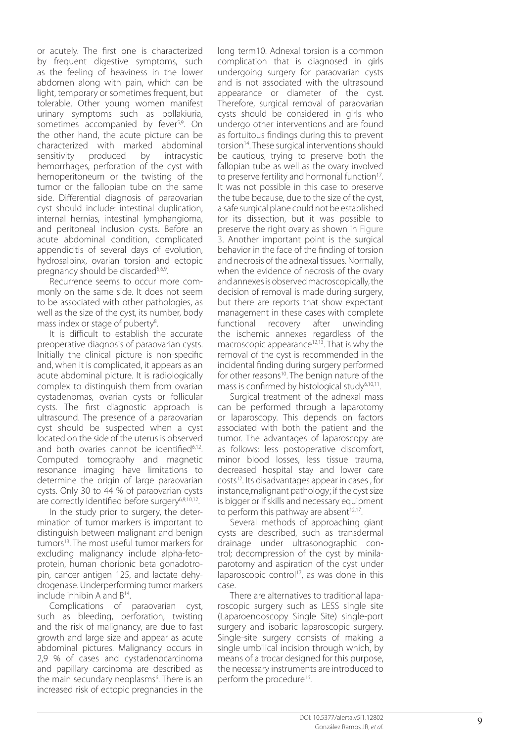or acutely. The first one is characterized by frequent digestive symptoms, such as the feeling of heaviness in the lower abdomen along with pain, which can be light, temporary or sometimes frequent, but tolerable. Other young women manifest urinary symptoms such as pollakiuria, sometimes accompanied by fever<sup>5,9</sup>. On the other hand, the acute picture can be characterized with marked abdominal sensitivity produced by intracystic hemorrhages, perforation of the cyst with hemoperitoneum or the twisting of the tumor or the fallopian tube on the same side. Differential diagnosis of paraovarian cyst should include: intestinal duplication, internal hernias, intestinal lymphangioma, and peritoneal inclusion cysts. Before an acute abdominal condition, complicated appendicitis of several days of evolution, hydrosalpinx, ovarian torsion and ectopic pregnancy should be discarded<sup>5,6,9</sup>.

Recurrence seems to occur more com monly on the same side. It does not seem to be associated with other pathologies, as well as the size of the cyst, its number, body mass index or stage of puberty 8 .

It is difficult to establish the accurate preoperative diagnosis of paraovarian cysts. Initially the clinical picture is non-specific and, when it is complicated, it appears as an acute abdominal picture. It is radiologically complex to distinguish them from ovarian cystadenomas, ovarian cysts or follicular cysts. The first diagnostic approach is ultrasound. The presence of a paraovarian cyst should be suspected when a cyst located on the side of the uterus is observed and both ovaries cannot be identified<sup>6,12</sup>. Computed tomography and magnetic resonance imaging have limitations to determine the origin of large paraovarian cysts. Only 30 to 44 % of paraovarian cysts are correctly identified before surgery<sup>6,9,10,12</sup>. .

In the study prior to surgery, the deter mination of tumor markers is important to distinguish between malignant and benign tumors13. The most useful tumor markers for excluding malignancy include alpha-feto protein, human chorionic beta gonadotro pin, cancer antigen 125, and lactate dehy drogenase. Underperforming tumor markers include inhibin A and B14.

Complications of paraovarian cyst, such as bleeding, perforation, twisting and the risk of malignancy, are due to fast growth and large size and appear as acute abdominal pictures. Malignancy occurs in 2,9 % of cases and cystadenocarcinoma and papillary carcinoma are described as the main secundary neoplasms 6 . There is an increased risk of ectopic pregnancies in the

long term10. Adnexal torsion is a common complication that is diagnosed in girls undergoing surgery for paraovarian cysts and is not associated with the ultrasound appearance or diameter of the cyst. Therefore, surgical removal of paraovarian cysts should be considered in girls who undergo other interventions and are found as fortuitous findings during this to prevent torsion<sup>14</sup>. These surgical interventions should be cautious, trying to preserve both the fallopian tube as well as the ovary involved to preserve fertility and hormonal function<sup>17</sup>. It was not possible in this case to preserve the tube because, due to the size of the cyst, a safe surgical plane could not be established for its dissection, but it was possible to preserve the right ovary as shown in Figure 3. Another important point is the surgical behavior in the face of the finding of torsion and necrosis of the adnexal tissues. Normally, when the evidence of necrosis of the ovary and annexes is observed macroscopically, the decision of removal is made during surgery, but there are reports that show expectant management in these cases with complete functional recovery after unwinding the ischemic annexes regardless of the macroscopic appearance<sup>12,13</sup>. That is why the removal of the cyst is recommended in the incidental finding during surgery performed for other reasons<sup>10</sup>. The benign nature of the mass is confirmed by histological study $6,10,11$ . .

Surgical treatment of the adnexal mass can be performed through a laparotomy or laparoscopy. This depends on factors associated with both the patient and the tumor. The advantages of laparoscopy are as follows: less postoperative discomfort, minor blood losses, less tissue trauma, decreased hospital stay and lower care costs<sup>12</sup>. Its disadvantages appear in cases, for instance,malignant pathology; if the cyst size is bigger or if skills and necessary equipment to perform this pathway are absent<sup>12,17</sup>. .

Several methods of approaching giant cysts are described, such as transdermal drainage under ultrasonographic control; decompression of the cyst by minilaparotomy and aspiration of the cyst under laparoscopic control<sup>17</sup>, as was done in this case.

There are alternatives to traditional lapa roscopic surgery such as LESS single site (Laparoendoscopy Single Site) single-port surgery and isobaric laparoscopic surgery. Single-site surgery consists of making a single umbilical incision through which, by means of a trocar designed for this purpose, the necessary instruments are introduced to perform the procedure<sup>16</sup>. .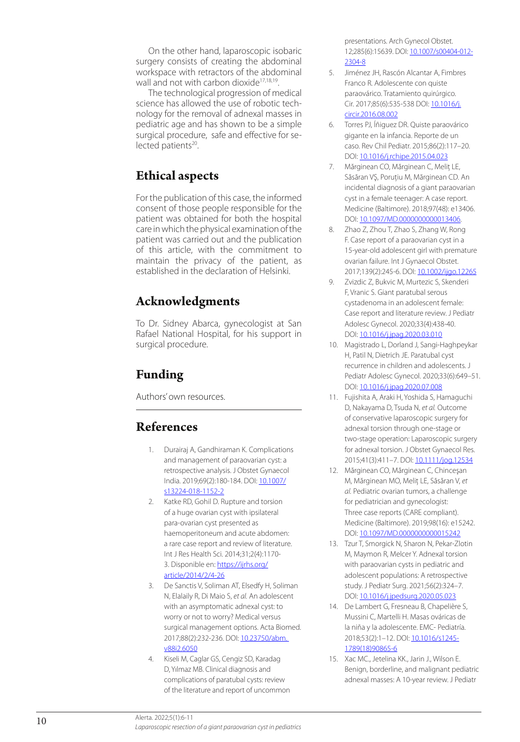On the other hand, laparoscopic isobaric surgery consists of creating the abdominal workspace with retractors of the abdominal wall and not with carbon dioxide<sup>17,18,19</sup>. .

The technological progression of medical science has allowed the use of robotic tech nology for the removal of adnexal masses in pediatric age and has shown to be a simple surgical procedure, safe and effective for se lected patients<sup>20</sup>. .

### **Ethical aspects**

For the publication of this case, the informed consent of those people responsible for the patient was obtained for both the hospital care in which the physical examination of the patient was carried out and the publication of this article, with the commitment to maintain the privacy of the patient, as established in the declaration of Helsinki.

### **Acknowledgments**

To Dr. Sidney Abarca, gynecologist at San Rafael National Hospital, for his support in surgical procedure.

## **Funding**

Authors' own resources.

### **References**

- 1. Durairaj A, Gandhiraman K. Complications and management of paraovarian cyst: a retrospective analysis. J Obstet Gynaecol India. 2019;69(2):180-184. DOI: 10.1007/ s13224-018-1152-2
- 2. Katke RD, Gohil D. Rupture and torsion of a huge ovarian cyst with ipsilateral para-ovarian cyst presented as haemoperitoneum and acute abdomen: a rare case report and review of literature. Int J Res Health Sci. 2014;31;2(4):1170- 3. Disponible en: https://ijrhs.org/ article/2014/2/4-26
- 3. De Sanctis V, Soliman AT, Elsedfy H, Soliman N, Elalaily R, Di Maio S, *et al.* An adolescent with an asymptomatic adnexal cyst: to worry or not to worry? Medical versus surgical management options. Acta Biomed. 2017;88(2):232-236. DOI: 10.23750/abm. v88i2.6050
- 4. Kiseli M, Caglar GS, Cengiz SD, Karadag D, Yılmaz MB. Clinical diagnosis and complications of paratubal cysts: review of the literature and report of uncommon

presentations. Arch Gynecol Obstet. 12;285(6):15639. DOI: 10.1007/s00404-012- 2304-8

- 5. Jiménez JH, Rascón Alcantar A, Fimbres Franco R. Adolescente con quiste paraovárico. Tratamiento quirúrgico. Cir. 2017;85(6):535-538 DOI: 10.1016/j. circir.2016.08.002
- 6. Torres PJ, Íñiguez DR. Quiste paraovárico gigante en la infancia. Reporte de un caso. Rev Chil Pediatr. 2015;86(2):117–20. DOI: 10.1016/j.rchipe.2015.04.023
- 7. Mărginean CO, Mărginean C, Meliţ LE, Săsăran VŞ, Poruţiu M, Mărginean CD. An incidental diagnosis of a giant paraovarian cyst in a female teenager: A case report. Medicine (Baltimore). 2018;97(48): e13406. DOI: 10.1097/MD.0000000000013406 .
- 8. Zhao Z, Zhou T, Zhao S, Zhang W, Rong F. Case report of a paraovarian cyst in a 15-year-old adolescent girl with premature ovarian failure. Int J Gynaecol Obstet. 2017;139(2):245-6. DOI: 10.1002/ijgo.12265
- 9. Zvizdic Z, Bukvic M, Murtezic S, Skenderi F, Vranic S. Giant paratubal serous cystadenoma in an adolescent female: Case report and literature review. J Pediatr Adolesc Gynecol. 2020;33(4):438-40. DOI: 10.1016/i.jpag.2020.03.010
- 10. Magistrado L, Dorland J, Sangi-Haghpeykar H, Patil N, Dietrich JE. Paratubal cyst recurrence in children and adolescents. J Pediatr Adolesc Gynecol. 2020;33(6):649–51. DOI: 10.1016/j.jpag.2020.07.008
- 11. Fujishita A, Araki H, Yoshida S, Hamaguchi D, Nakayama D, Tsuda N, *et al.* Outcome of conservative laparoscopic surgery for adnexal torsion through one-stage or two-stage operation: Laparoscopic surgery for adnexal torsion. J Obstet Gynaecol Res. 2015;41(3):411–7. DOI: 10.1111/jog.12534
- 12. Mărginean CO, Mărginean C, Chinceşan M, Mărginean MO, Meliţ LE, Săsăran V, *et al.* Pediatric ovarian tumors, a challenge for pediatrician and gynecologist: Three case reports (CARE compliant). Medicine (Baltimore). 2019;98(16): e15242. DOI: 10.1097/MD.0000000000015242
- 13. Tzur T, Smorgick N, Sharon N, Pekar-Zlotin M, Maymon R, Melcer Y. Adnexal torsion with paraovarian cysts in pediatric and adolescent populations: A retrospective study. J Pediatr Surg. 2021;56(2):324–7. DOI: 10.1016/j.jpedsurg.2020.05.023
- 14. De Lambert G, Fresneau B, Chapelière S, Mussini C, Martelli H. Masas ováricas de la niña y la adolescente. EMC- Pediatría. 2018;53(2):1–12. DOI: 10.1016/s1245- 1789(18)90865-6
- 15. Xac MC., Jetelina KK., Jarin J., Wilson E. Benign, borderline, and malignant pediatric adnexal masses: A 10-year review. J Pediatr